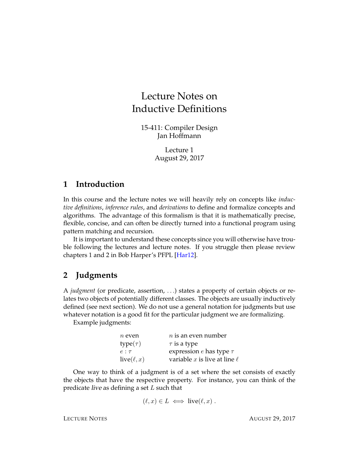# Lecture Notes on Inductive Definitions

15-411: Compiler Design Jan Hoffmann

> Lecture 1 August 29, 2017

# **1 Introduction**

In this course and the lecture notes we will heavily rely on concepts like *inductive definitions*, *inference rules*, and *derivations* to define and formalize concepts and algorithms. The advantage of this formalism is that it is mathematically precise, flexible, concise, and can often be directly turned into a functional program using pattern matching and recursion.

It is important to understand these concepts since you will otherwise have trouble following the lectures and lecture notes. If you struggle then please review chapters 1 and 2 in Bob Harper's PFPL [\[Har12\]](#page-5-0).

# **2 Judgments**

A *judgment* (or predicate, assertion, . . .) states a property of certain objects or relates two objects of potentially different classes. The objects are usually inductively defined (see next section). We do not use a general notation for judgments but use whatever notation is a good fit for the particular judgment we are formalizing.

Example judgments:

| $n$ even        | $n$ is an even number             |
|-----------------|-----------------------------------|
| $type(\tau)$    | $\tau$ is a type                  |
| $e:\tau$        | expression $e$ has type $\tau$    |
| $live(\ell, x)$ | variable x is live at line $\ell$ |

One way to think of a judgment is of a set where the set consists of exactly the objects that have the respective property. For instance, you can think of the predicate *live* as defining a set  $L$  such that

$$
(\ell, x) \in L \iff \text{live}(\ell, x) .
$$

LECTURE NOTES AUGUST 29, 2017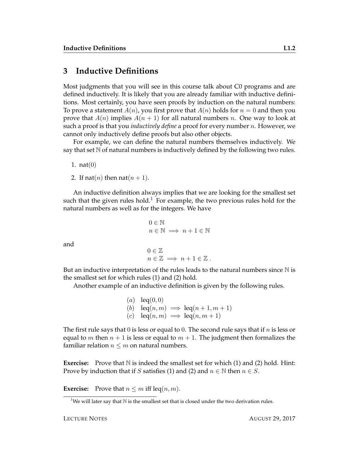# **3 Inductive Definitions**

Most judgments that you will see in this course talk about C0 programs and are defined inductively. It is likely that you are already familiar with inductive definitions. Most certainly, you have seen proofs by induction on the natural numbers: To prove a statement  $A(n)$ , you first prove that  $A(n)$  holds for  $n = 0$  and then you prove that  $A(n)$  implies  $A(n + 1)$  for all natural numbers n. One way to look at such a proof is that you *inductively define* a proof for every number n. However, we cannot only inductively define proofs but also other objects.

For example, we can define the natural numbers themselves inductively. We say that set  $\mathbb N$  of natural numbers is inductively defined by the following two rules.

1.  $nat(0)$ 

and

2. If nat(*n*) then nat( $n + 1$ ).

An inductive definition always implies that we are looking for the smallest set such that the given rules hold.<sup>[1](#page-1-0)</sup> For example, the two previous rules hold for the natural numbers as well as for the integers. We have

```
0 \in \mathbb{N}n \in \mathbb{N} \implies n+1 \in \mathbb{N}0 \in \mathbb{Z}n \in \mathbb{Z} \implies n + 1 \in \mathbb{Z}.
```
But an inductive interpretation of the rules leads to the natural numbers since  $\mathbb N$  is the smallest set for which rules (1) and (2) hold.

Another example of an inductive definition is given by the following rules.

\n- (a) 
$$
leq(0,0)
$$
\n- (b)  $leq(n,m) \implies leq(n+1,m+1)$
\n- (c)  $leq(n,m) \implies leq(n,m+1)$
\n

The first rule says that 0 is less or equal to 0. The second rule says that if  $n$  is less or equal to *m* then  $n + 1$  is less or equal to  $m + 1$ . The judgment then formalizes the familiar relation  $n \leq m$  on natural numbers.

**Exercise:** Prove that N is indeed the smallest set for which (1) and (2) hold. Hint: Prove by induction that if S satisfies (1) and (2) and  $n \in \mathbb{N}$  then  $n \in S$ .

**Exercise:** Prove that  $n \leq m$  iff leq $(n, m)$ .

<span id="page-1-0"></span><sup>&</sup>lt;sup>1</sup>We will later say that  $N$  is the smallest set that is closed under the two derivation rules.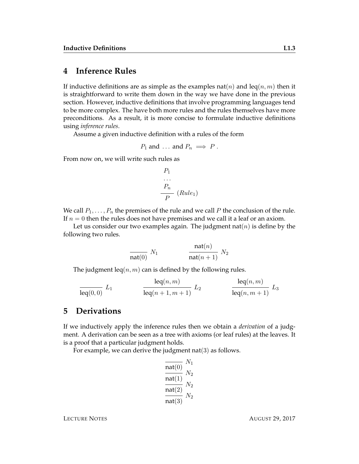## **4 Inference Rules**

If inductive definitions are as simple as the examples nat(*n*) and leq(*n*, *m*) then it is straightforward to write them down in the way we have done in the previous section. However, inductive definitions that involve programming languages tend to be more complex. The have both more rules and the rules themselves have more preconditions. As a result, it is more concise to formulate inductive definitions using *inference rules*.

Assume a given inductive definition with a rules of the form

$$
P_1
$$
 and ... and  $P_n \implies P$ .

From now on, we will write such rules as

$$
\begin{array}{c}\nP_1 \\
\cdots \\
P_n \\
\hline\nP\n\end{array}
$$
\n(Rule<sub>1</sub>)

We call  $P_1, \ldots, P_n$  the premises of the rule and we call P the conclusion of the rule. If  $n = 0$  then the rules does not have premises and we call it a leaf or an axiom.

Let us consider our two examples again. The judgment nat(*n*) is define by the following two rules.

$$
\frac{\text{nat}(n)}{\text{nat}(0)} \ N_1 \qquad \frac{\text{nat}(n)}{\text{nat}(n+1)} \ N_2
$$

The judgment  $\text{leg}(n, m)$  can is defined by the following rules.

$$
\frac{\text{leq}(n,m)}{\text{leq}(0,0)} L_1 \qquad \qquad \frac{\text{leq}(n,m)}{\text{leq}(n+1,m+1)} L_2 \qquad \qquad \frac{\text{leq}(n,m)}{\text{leq}(n,m+1)} L_3
$$

#### **5 Derivations**

If we inductively apply the inference rules then we obtain a *derivation* of a judgment. A derivation can be seen as a tree with axioms (or leaf rules) at the leaves. It is a proof that a particular judgment holds.

For example, we can derive the judgment  $nat(3)$  as follows.

$$
\frac{\overline{\text{nat}(0)}}{\overline{\text{nat}(1)}} \frac{N_1}{N_2}
$$

$$
\frac{\overline{\text{nat}(1)}}{\overline{\text{nat}(3)}} \frac{N_2}{N_2}
$$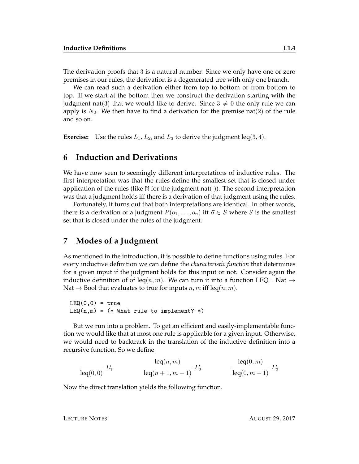The derivation proofs that 3 is a natural number. Since we only have one or zero premises in our rules, the derivation is a degenerated tree with only one branch.

We can read such a derivation either from top to bottom or from bottom to top. If we start at the bottom then we construct the derivation starting with the judgment nat(3) that we would like to derive. Since  $3 \neq 0$  the only rule we can apply is  $N_2$ . We then have to find a derivation for the premise nat(2) of the rule and so on.

**Exercise:** Use the rules  $L_1$ ,  $L_2$ , and  $L_3$  to derive the judgment leq(3, 4).

#### **6 Induction and Derivations**

We have now seen to seemingly different interpretations of inductive rules. The first interpretation was that the rules define the smallest set that is closed under application of the rules (like  $\mathbb N$  for the judgment nat( $\cdot$ )). The second interpretation was that a judgment holds iff there is a derivation of that judgment using the rules.

Fortunately, it turns out that both interpretations are identical. In other words, there is a derivation of a judgment  $P(o_1, \ldots, o_n)$  iff  $\vec{o} \in S$  where S is the smallest set that is closed under the rules of the judgment.

#### **7 Modes of a Judgment**

As mentioned in the introduction, it is possible to define functions using rules. For every inductive definition we can define the *characteristic function* that determines for a given input if the judgment holds for this input or not. Consider again the inductive definition of of leq(n, m). We can turn it into a function LEQ : Nat  $\rightarrow$ Nat  $\rightarrow$  Bool that evaluates to true for inputs n, m iff leq(n, m).

 $LEQ(0,0) = true$  $LEQ(n,m) = (* What rule to implement? *)$ 

But we run into a problem. To get an efficient and easily-implementable function we would like that at most one rule is applicable for a given input. Otherwise, we would need to backtrack in the translation of the inductive definition into a recursive function. So we define

$$
\frac{\text{leq}(n,m)}{\text{leq}(0,0)} L'_1 \qquad \frac{\text{leq}(n,m)}{\text{leq}(n+1,m+1)} L'_2 \qquad \frac{\text{leq}(0,m)}{\text{leq}(0,m+1)} L'_3
$$

Now the direct translation yields the following function.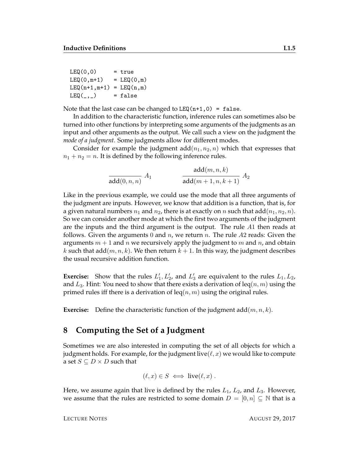```
LEQ(0,0) = true
LEQ(0, m+1) = LEQ(0, m)LEQ(n+1,m+1) = LEQ(n,m)LEQ(\_ ,\_ ) = false
```
Note that the last case can be changed to  $LEQ(n+1,0) = false$ .

In addition to the characteristic function, inference rules can sometimes also be turned into other functions by interpreting some arguments of the judgments as an input and other arguments as the output. We call such a view on the judgment the *mode of a judgment.* Some judgments allow for different modes.

Consider for example the judgment  $add(n_1, n_2, n)$  which that expresses that  $n_1 + n_2 = n$ . It is defined by the following inference rules.

> $\operatorname{add}(0,n,n)$  $A_1$  $\operatorname{add}(m,n,k)$  $add(m+1, n, k+1)$  $A_2$

Like in the previous example, we could use the mode that all three arguments of the judgment are inputs. However, we know that addition is a function, that is, for a given natural numbers  $n_1$  and  $n_2$ , there is at exactly on n such that add $(n_1, n_2, n)$ . So we can consider another mode at which the first two arguments of the judgment are the inputs and the third argument is the output. The rule A1 then reads at follows. Given the arguments 0 and  $n$ , we return  $n$ . The rule  $A2$  reads: Given the arguments  $m + 1$  and n we recursively apply the judgment to m and n, and obtain k such that add $(m, n, k)$ . We then return  $k + 1$ . In this way, the judgment describes the usual recursive addition function.

**Exercise:** Show that the rules  $L'_1, L'_2$ , and  $L'_3$  are equivalent to the rules  $L_1, L_2$ , and  $L_3$ . Hint: You need to show that there exists a derivation of leq $(n, m)$  using the primed rules iff there is a derivation of leq $(n, m)$  using the original rules.

**Exercise:** Define the characteristic function of the judgment  $add(m, n, k)$ .

### **8 Computing the Set of a Judgment**

Sometimes we are also interested in computing the set of all objects for which a judgment holds. For example, for the judgment live  $(\ell, x)$  we would like to compute a set  $S \subseteq D \times D$  such that

$$
(\ell, x) \in S \iff \text{live}(\ell, x) .
$$

Here, we assume again that live is defined by the rules  $L_1$ ,  $L_2$ , and  $L_3$ . However, we assume that the rules are restricted to some domain  $D = [0, n] \subseteq \mathbb{N}$  that is a